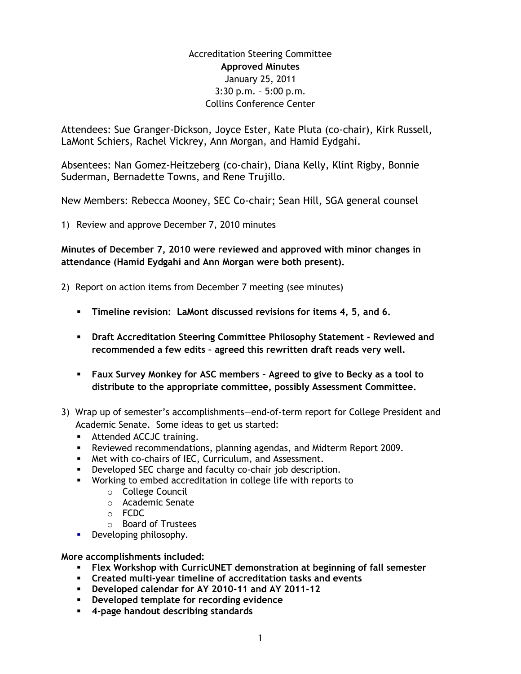## Accreditation Steering Committee **Approved Minutes** January 25, 2011 3:30 p.m. – 5:00 p.m. Collins Conference Center

Attendees: Sue Granger-Dickson, Joyce Ester, Kate Pluta (co-chair), Kirk Russell, LaMont Schiers, Rachel Vickrey, Ann Morgan, and Hamid Eydgahi.

Absentees: Nan Gomez-Heitzeberg (co-chair), Diana Kelly, Klint Rigby, Bonnie Suderman, Bernadette Towns, and Rene Trujillo.

New Members: Rebecca Mooney, SEC Co-chair; Sean Hill, SGA general counsel

1) Review and approve December 7, 2010 minutes

**Minutes of December 7, 2010 were reviewed and approved with minor changes in attendance (Hamid Eydgahi and Ann Morgan were both present).**

- 2) Report on action items from December 7 meeting (see minutes)
	- **Timeline revision: LaMont discussed revisions for items 4, 5, and 6.**
	- **Draft Accreditation Steering Committee Philosophy Statement - Reviewed and recommended a few edits – agreed this rewritten draft reads very well.**
	- **Faux Survey Monkey for ASC members – Agreed to give to Becky as a tool to distribute to the appropriate committee, possibly Assessment Committee.**
- 3) Wrap up of semester's accomplishments—end-of-term report for College President and Academic Senate. Some ideas to get us started:
	- **Attended ACCJC training.**
	- Reviewed recommendations, planning agendas, and Midterm Report 2009.
	- **Met with co-chairs of IEC, Curriculum, and Assessment.**
	- **-** Developed SEC charge and faculty co-chair job description.
	- Working to embed accreditation in college life with reports to
		- o College Council
		- o Academic Senate
		- o FCDC
		- o Board of Trustees
	- Developing philosophy*.*

**More accomplishments included:**

- **Flex Workshop with CurricUNET demonstration at beginning of fall semester**
- **Created multi-year timeline of accreditation tasks and events**
- **Developed calendar for AY 2010-11 and AY 2011-12**
- **Developed template for recording evidence**
- **4-page handout describing standards**